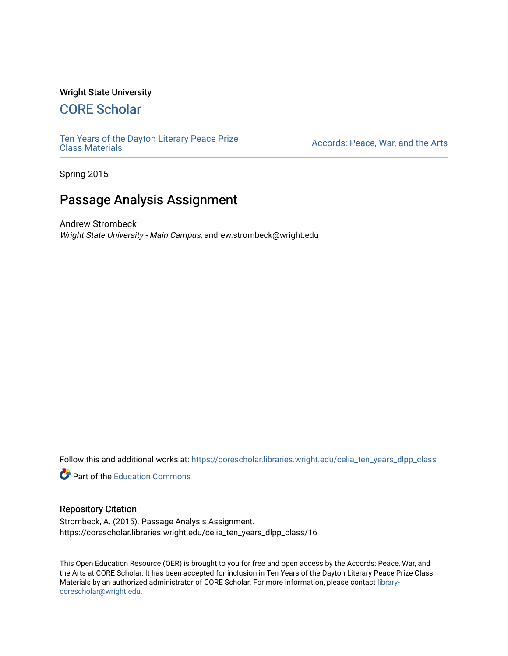#### Wright State University

# [CORE Scholar](https://corescholar.libraries.wright.edu/)

[Ten Years of the Dayton Literary Peace Prize](https://corescholar.libraries.wright.edu/celia_ten_years_dlpp_class)

Accords: Peace, War, and the Arts

Spring 2015

# Passage Analysis Assignment

Andrew Strombeck Wright State University - Main Campus, andrew.strombeck@wright.edu

Follow this and additional works at: [https://corescholar.libraries.wright.edu/celia\\_ten\\_years\\_dlpp\\_class](https://corescholar.libraries.wright.edu/celia_ten_years_dlpp_class?utm_source=corescholar.libraries.wright.edu%2Fcelia_ten_years_dlpp_class%2F16&utm_medium=PDF&utm_campaign=PDFCoverPages)

**P** Part of the [Education Commons](http://network.bepress.com/hgg/discipline/784?utm_source=corescholar.libraries.wright.edu%2Fcelia_ten_years_dlpp_class%2F16&utm_medium=PDF&utm_campaign=PDFCoverPages)

#### Repository Citation

Strombeck, A. (2015). Passage Analysis Assignment. . https://corescholar.libraries.wright.edu/celia\_ten\_years\_dlpp\_class/16

This Open Education Resource (OER) is brought to you for free and open access by the Accords: Peace, War, and the Arts at CORE Scholar. It has been accepted for inclusion in Ten Years of the Dayton Literary Peace Prize Class Materials by an authorized administrator of CORE Scholar. For more information, please contact [library](mailto:library-corescholar@wright.edu)[corescholar@wright.edu](mailto:library-corescholar@wright.edu).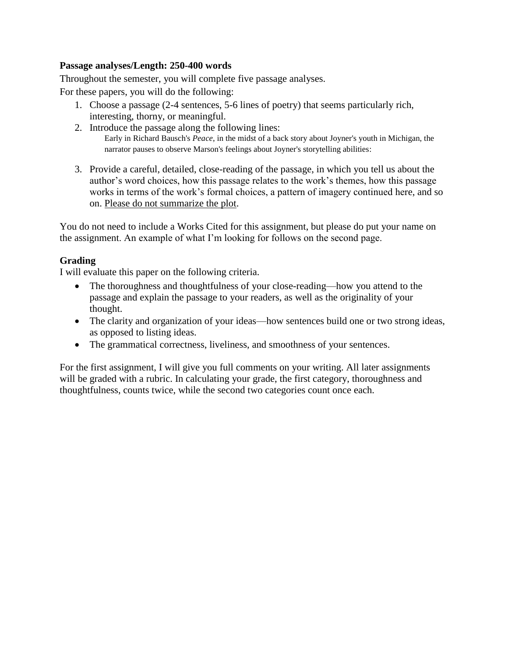### **Passage analyses/Length: 250-400 words**

Throughout the semester, you will complete five passage analyses.

For these papers, you will do the following:

- 1. Choose a passage (2-4 sentences, 5-6 lines of poetry) that seems particularly rich, interesting, thorny, or meaningful.
- 2. Introduce the passage along the following lines: Early in Richard Bausch's *Peace*, in the midst of a back story about Joyner's youth in Michigan, the narrator pauses to observe Marson's feelings about Joyner's storytelling abilities:
- 3. Provide a careful, detailed, close-reading of the passage, in which you tell us about the author's word choices, how this passage relates to the work's themes, how this passage works in terms of the work's formal choices, a pattern of imagery continued here, and so on. Please do not summarize the plot.

You do not need to include a Works Cited for this assignment, but please do put your name on the assignment. An example of what I'm looking for follows on the second page.

### **Grading**

I will evaluate this paper on the following criteria.

- The thoroughness and thoughtfulness of your close-reading—how you attend to the passage and explain the passage to your readers, as well as the originality of your thought.
- The clarity and organization of your ideas—how sentences build one or two strong ideas, as opposed to listing ideas.
- The grammatical correctness, liveliness, and smoothness of your sentences.

For the first assignment, I will give you full comments on your writing. All later assignments will be graded with a rubric. In calculating your grade, the first category, thoroughness and thoughtfulness, counts twice, while the second two categories count once each.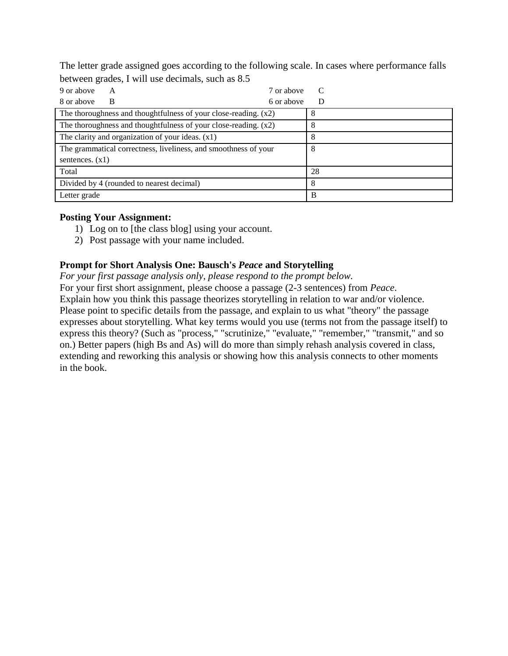The letter grade assigned goes according to the following scale. In cases where performance falls between grades, I will use decimals, such as 8.5

| 9 or above<br>7 or above<br>A                                     | C  |
|-------------------------------------------------------------------|----|
| 6 or above<br>8 or above<br>B                                     | D  |
| The thoroughness and thoughtfulness of your close-reading. $(x2)$ | 8  |
| The thoroughness and thoughtfulness of your close-reading. $(x2)$ | 8  |
| The clarity and organization of your ideas. $(x1)$                | 8  |
| The grammatical correctness, liveliness, and smoothness of your   | 8  |
| sentences. $(x1)$                                                 |    |
| Total                                                             | 28 |
| Divided by 4 (rounded to nearest decimal)                         | 8  |
| Letter grade                                                      | B  |

## **Posting Your Assignment:**

- 1) Log on to [the class blog] using your account.
- 2) Post passage with your name included.

## **Prompt for Short Analysis One: Bausch's** *Peace* **and Storytelling**

*For your first passage analysis only, please respond to the prompt below.*

For your first short assignment, please choose a passage (2-3 sentences) from *Peace*. Explain how you think this passage theorizes storytelling in relation to war and/or violence. Please point to specific details from the passage, and explain to us what "theory" the passage expresses about storytelling. What key terms would you use (terms not from the passage itself) to express this theory? (Such as "process," "scrutinize," "evaluate," "remember," "transmit," and so on.) Better papers (high Bs and As) will do more than simply rehash analysis covered in class, extending and reworking this analysis or showing how this analysis connects to other moments in the book.